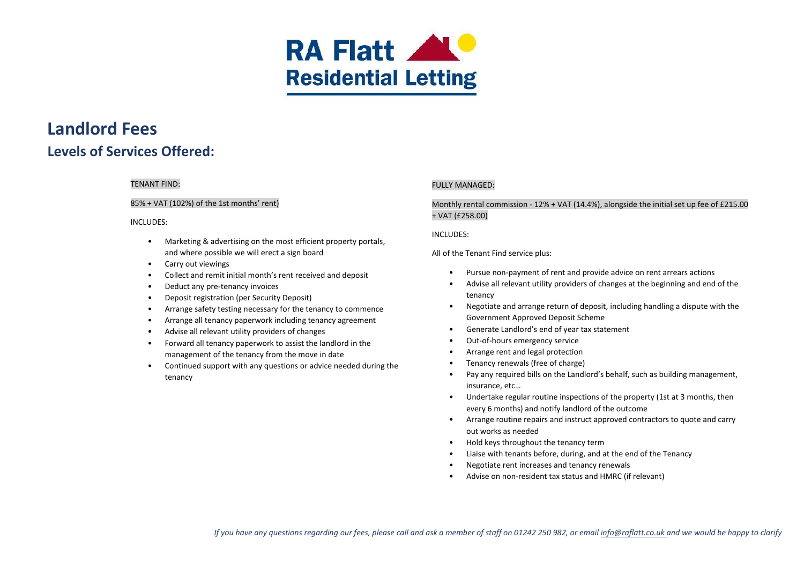

# **Landlord Fees Levels of Services Offered:**

# TENANT FIND:

## 85% + VAT (102%) of the 1st months' rent)

### INCLUDES:

- Marketing & advertising on the most efficient property portals, and where possible we will erect a sign board
- Carry out viewings
- Collect and remit initial month's rent received and deposit
- Deduct any pre-tenancy invoices
- Deposit registration (per Security Deposit)
- Arrange safety testing necessary for the tenancy to commence
- Arrange all tenancy paperwork including tenancy agreement
- Advise all relevant utility providers of changes
- Forward all tenancy paperwork to assist the landlord in the management of the tenancy from the move in date
- Continued support with any questions or advice needed during the tenancy

# **FULLY MANAGED:**

# Monthly rental commission - 12% + VAT (14.4%), alongside the initial set up fee of £215.00 + VAT (£258.00)

### INCLUDES:

All of the Tenant Find service plus:

- Pursue non-payment of rent and provide advice on rent arrears actions
- Advise all relevant utility providers of changes at the beginning and end of the tenancy
- Negotiate and arrange return of deposit, including handling a dispute with the Government Approved Deposit Scheme
- Generate Landlord's end of year tax statement
- Out-of-hours emergency service
- Arrange rent and legal protection
- Tenancy renewals (free of charge)
- Pay any required bills on the Landlord's behalf, such as building management, insurance, etc…
- Undertake regular routine inspections of the property (1st at 3 months, then every 6 months) and notify landlord of the outcome
- Arrange routine repairs and instruct approved contractors to quote and carry out works as needed
- Hold keys throughout the tenancy term
- Liaise with tenants before, during, and at the end of the Tenancy
- Negotiate rent increases and tenancy renewals
- Advise on non-resident tax status and HMRC (if relevant)